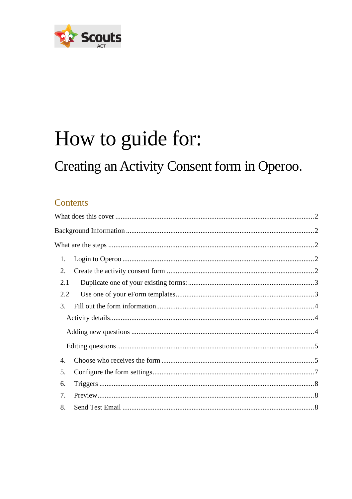

# How to guide for:

## Creating an Activity Consent form in Operoo.

### Contents

| 1.  |  |
|-----|--|
| 2.  |  |
| 2.1 |  |
| 2.2 |  |
| 3.  |  |
|     |  |
|     |  |
|     |  |
| 4.  |  |
| 5.  |  |
| 6.  |  |
| 7.  |  |
| 8.  |  |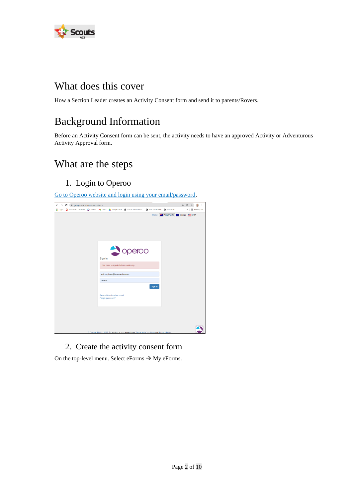

## <span id="page-1-0"></span>What does this cover

<span id="page-1-1"></span>How a Section Leader creates an Activity Consent form and send it to parents/Rovers.

## Background Information

Before an Activity Consent form can be sent, the activity needs to have an approved Activity or Adventurous Activity Approval form.

## <span id="page-1-2"></span>What are the steps

<span id="page-1-3"></span>1. Login to Operoo

[Go to Operoo website and login using your email/password.](https://groups.operoo.com/users/sign_in)



<span id="page-1-4"></span>2. Create the activity consent form

On the top-level menu. Select eForms  $\rightarrow$  My eForms.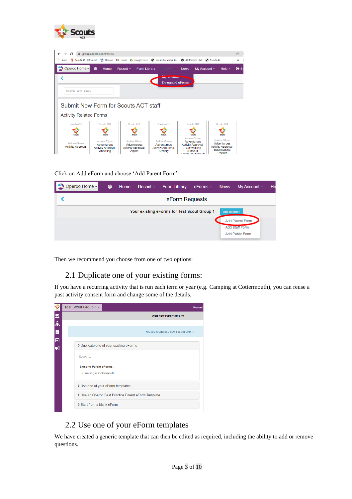

| $\leftarrow$<br>С                                          | ■ groups.operoo.com/forms                                                               |                                                                                             |                                                                                       |                                                                                                                                                      | (今                                                                                                                 |
|------------------------------------------------------------|-----------------------------------------------------------------------------------------|---------------------------------------------------------------------------------------------|---------------------------------------------------------------------------------------|------------------------------------------------------------------------------------------------------------------------------------------------------|--------------------------------------------------------------------------------------------------------------------|
| Scouts ACT Office365<br><b>III</b> Apps                    | $\bigcirc$ Operoo                                                                       | M Gmail & Google Drive                                                                      | Scouts Members Ar C ACR Scouts P&P                                                    |                                                                                                                                                      | Couts ACT<br>$\gg$                                                                                                 |
| Operoo Home -                                              | ⊕<br>Home                                                                               | Recent $\sim$<br><b>Form Library</b>                                                        | eForms -                                                                              | <b>News</b><br>My Account $\sim$                                                                                                                     | <b>□</b> Si<br>Help $\sim$                                                                                         |
| Search Form Library                                        |                                                                                         |                                                                                             | <b>My GEVILLE</b><br><b>Delegated eForms</b>                                          |                                                                                                                                                      |                                                                                                                    |
|                                                            |                                                                                         |                                                                                             |                                                                                       |                                                                                                                                                      |                                                                                                                    |
|                                                            |                                                                                         | Submit New Form for Scouts ACT staff                                                        |                                                                                       |                                                                                                                                                      |                                                                                                                    |
| <b>Activity Related Forms</b>                              |                                                                                         |                                                                                             |                                                                                       |                                                                                                                                                      |                                                                                                                    |
| Scouts ACT                                                 | Scouts ACT                                                                              | Scouts ACT                                                                                  | Scouts ACT                                                                            | Scouts ACT                                                                                                                                           | Scouts ACT                                                                                                         |
|                                                            |                                                                                         |                                                                                             |                                                                                       |                                                                                                                                                      |                                                                                                                    |
| <b>Scouts</b><br>Andrew Gibson<br><b>Activity Approval</b> | <b>Scouts</b><br>Andrew Gibson<br>Adventurous<br><b>Activity Approval-</b><br>Abseiling | <b>Scouts</b><br><b>Andrew Gibson</b><br>Adventurous<br><b>Activity Approval-</b><br>Alpine | <b>Scouts</b><br>Andrew Gibson<br>Adventurous<br><b>Activity Approval-</b><br>Archery | <b>Scouts</b><br><b>Andrew Gibson</b><br>Adventurous<br><b>Activity Approval-</b><br><b>Bushwalking</b><br>(Difficult.<br><b>Extramaly Difficult</b> | <b>Scouts</b><br>Andrew Gibson<br>Adventurous<br><b>Activity Approval-</b><br><b>Bushwalking</b><br><b>Tracked</b> |

Click on Add eForm and choose 'Add Parent Form'

| Operoo Home - | ⊕ | Home | Recent $\sim$ | <b>Form Library</b>                         | $e$ Forms $\sim$ | <b>News</b>       | My Account $\sim$                        | He |
|---------------|---|------|---------------|---------------------------------------------|------------------|-------------------|------------------------------------------|----|
|               |   |      |               | eForm Requests                              |                  |                   |                                          |    |
|               |   |      |               | Your existing eForms for Test Scout Group 1 |                  | Add eForm $\star$ |                                          |    |
|               |   |      |               |                                             |                  |                   | Add Parent Form<br><b>Add Staff Form</b> |    |
|               |   |      |               |                                             |                  |                   | <b>Add Public Form</b>                   |    |

Then we recommend you choose from one of two options:

#### <span id="page-2-0"></span>2.1 Duplicate one of your existing forms:

If you have a recurring activity that is run each term or year (e.g. Camping at Cottermouth), you can reuse a past activity consent form and change some of the details.

| 鑒  | Test Scout Group 1 -<br>Recent                           |  |
|----|----------------------------------------------------------|--|
|    | <b>Add new Parent eForm</b>                              |  |
| 医品 |                                                          |  |
| B  | You are creating a new Parent eForm                      |  |
| 卤  |                                                          |  |
| ส  | > Duplicate one of your existing eForms                  |  |
|    | Search                                                   |  |
|    | <b>Existing Parent eForms:</b><br>Camping at Cottermouth |  |
|    | > Use one of your eForm templates                        |  |
|    | > Use an Operoo Best Practice Parent eForm Template      |  |
|    | > Start from a blank eForm                               |  |

#### <span id="page-2-1"></span>2.2 Use one of your eForm templates

We have created a generic template that can then be edited as required, including the ability to add or remove questions.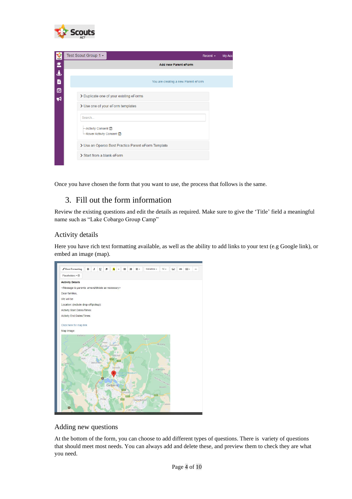

| $\frac{1}{2}$ | Test Scout Group 1 -<br>Recent $\sim$                   | My Acc |
|---------------|---------------------------------------------------------|--------|
| 医             | <b>Add new Parent eForm</b>                             |        |
| ݟ             |                                                         |        |
| B             | You are creating a new Parent eForm                     |        |
| ă             |                                                         |        |
| ನ             | > Duplicate one of your existing eForms                 |        |
|               | > Use one of your eForm templates                       |        |
|               | Search                                                  |        |
|               | ← Activity Consent <b>□</b><br>– Rover Activity Consent |        |
|               | > Use an Operoo Best Practice Parent eForm Template     |        |
|               | > Start from a blank eForm                              |        |

<span id="page-3-0"></span>Once you have chosen the form that you want to use, the process that follows is the same.

#### 3. Fill out the form information

Review the existing questions and edit the details as required. Make sure to give the 'Title' field a meaningful name such as "Lake Cobargo Group Camp"

#### <span id="page-3-1"></span>Activity details

Here you have rich text formatting available, as well as the ability to add links to your text (e.g Google link), or embed an image (map).



#### <span id="page-3-2"></span>Adding new questions

At the bottom of the form, you can choose to add different types of questions. There is variety of questions that should meet most needs. You can always add and delete these, and preview them to check they are what you need.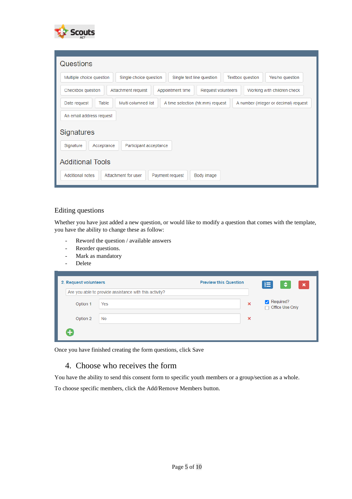

| Questions                                                                                                                     |
|-------------------------------------------------------------------------------------------------------------------------------|
| Multiple choice question<br>Yes/no question<br>Single choice question<br>Single text line question<br><b>Textbox question</b> |
| Checkbox question<br>Request volunteers<br>Working with children check<br>Attachment request<br>Appointment time              |
| Multi columned list<br>Date request<br>Table<br>A time selection (hh:mm) request<br>A number (integer or decimal) request     |
| An email address request                                                                                                      |
| <b>Signatures</b>                                                                                                             |
| Signature<br>Acceptance<br>Participant acceptance                                                                             |
| <b>Additional Tools</b>                                                                                                       |
| <b>Additional notes</b><br>Attachment for user<br>Payment request<br>Body image                                               |

#### <span id="page-4-0"></span>Editing questions

Whether you have just added a new question, or would like to modify a question that comes with the template, you have the ability to change these as follow:

- Reword the question / available answers
- Reorder questions.
- Mark as mandatory
- Delete

| 2. Request volunteers |                                                        | <b>Preview this Question</b> | 信<br>$\left\vert \bullet\right\vert$<br>$\mathbf{x}$ |
|-----------------------|--------------------------------------------------------|------------------------------|------------------------------------------------------|
|                       | Are you able to provide assistance with this activity? |                              |                                                      |
| Option 1              | Yes                                                    | $\boldsymbol{\mathsf{x}}$    | Required?<br>Office Use Only                         |
| Option 2              | No                                                     | ×                            |                                                      |
| +                     |                                                        |                              |                                                      |

<span id="page-4-1"></span>Once you have finished creating the form questions, click Save

#### 4. Choose who receives the form

You have the ability to send this consent form to specific youth members or a group/section as a whole.

To choose specific members, click the Add/Remove Members button.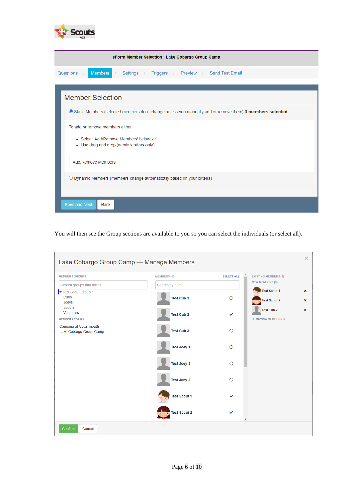

| eForm Member Selection : Lake Cobargo Group Camp                                                         |
|----------------------------------------------------------------------------------------------------------|
| <b>Members</b><br>Questions<br>Settings / Triggers / Preview / Send Test Email<br>T                      |
|                                                                                                          |
| <b>Member Selection</b>                                                                                  |
| Static Members (selected members don't change unless you manually add or remove them) 0 members selected |
| To add or remove members either:                                                                         |
| · Select 'Add/Remove Members' below: or<br>• Use drag and drop (administrators only)                     |
| Add/Remove Members                                                                                       |
| $\bigcirc$ Dynamic Members (members change automatically based on your criteria)                         |
|                                                                                                          |
| <b>Save and Next</b><br><b>Back</b>                                                                      |

You will then see the Group sections are available to you so you can select the individuals (or select all).

| <b>MEMBERS GROUPS</b>                              | <b>MEMBERS (13)</b>   | <b>SELECT ALL</b> | <b>EXISTING MEMBERS (0)</b>                      |        |
|----------------------------------------------------|-----------------------|-------------------|--------------------------------------------------|--------|
| Search groups and forms                            | Search by name        |                   | <b>NEW MEMBERS (3)</b>                           |        |
| Test Scout Group 1<br>Cubs<br>Joeys                | Test Cub 1            | O                 | <b>Test Scout 1</b><br><b>Test Scout 2</b>       | ×<br>× |
| <b>Scouts</b><br>Venturers<br><b>MEMBERS FORMS</b> | <b>Test Cub 2</b>     | $\checkmark$      | <b>Test Cub 2</b><br><b>REMOVING MEMBERS (0)</b> | ×      |
| Camping at Cottermouth<br>Lake Cobargo Group Camp  | Test Cub <sub>3</sub> | $\Omega$          |                                                  |        |
|                                                    | <b>Test Joey 1</b>    | $\Omega$          |                                                  |        |
|                                                    | Test Joey 2           | $\bigcirc$        |                                                  |        |
|                                                    | Test Joey 3           | Ω                 |                                                  |        |
|                                                    | <b>Test Scout 1</b>   | ✓                 |                                                  |        |
|                                                    | <b>Test Scout 2</b>   |                   |                                                  |        |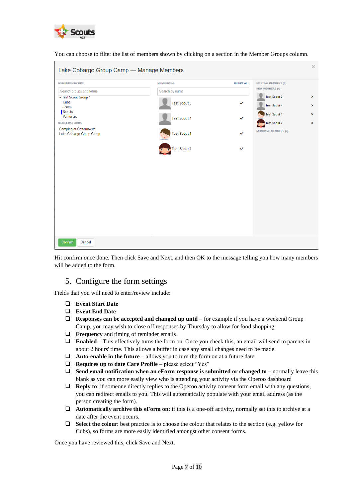

You can choose to filter the list of members shown by clicking on a section in the Member Groups column.

| Lake Cobargo Group Camp - Manage Members           |                     |                   |                                            | $\times$                       |
|----------------------------------------------------|---------------------|-------------------|--------------------------------------------|--------------------------------|
| <b>MEMBERS GROUPS</b>                              | <b>MEMBERS (4)</b>  | <b>SELECT ALL</b> | <b>EXISTING MEMBERS (0)</b>                |                                |
| Search groups and forms                            | Search by name      |                   | <b>NEW MEMBERS (4)</b>                     |                                |
| Test Scout Group 1<br>Cubs<br>Joeys                | <b>Test Scout 3</b> | ✓                 | <b>Test Scout 3</b><br><b>Test Scout 4</b> | $\pmb{\times}$<br>$\mathbf x$  |
| Scouts<br><b>Venturers</b><br><b>MEMBERS FORMS</b> | <b>Test Scout 4</b> | $\checkmark$      | <b>Test Scout 1</b><br><b>Test Scout 2</b> | $\mathbf{x}$<br>$\pmb{\times}$ |
| Camping at Cottermouth<br>Lake Cobargo Group Camp  | <b>Test Scout 1</b> | $\checkmark$      | <b>REMOVING MEMBERS (0)</b>                |                                |
|                                                    | <b>Test Scout 2</b> | $\checkmark$      |                                            |                                |
|                                                    |                     |                   |                                            |                                |
|                                                    |                     |                   |                                            |                                |
|                                                    |                     |                   |                                            |                                |
|                                                    |                     |                   |                                            |                                |
|                                                    |                     |                   |                                            |                                |
| Confirm<br>Cancel                                  |                     |                   |                                            |                                |

Hit confirm once done. Then click Save and Next, and then OK to the message telling you how many members will be added to the form.

#### <span id="page-6-0"></span>5. Configure the form settings

Fields that you will need to enter/review include:

- ❑ **Event Start Date**
- ❑ **Event End Date**
- ❑ **Responses can be accepted and changed up until** for example if you have a weekend Group Camp, you may wish to close off responses by Thursday to allow for food shopping.
- ❑ **Frequency** and timing of reminder emails
- ❑ **Enabled** This effectively turns the form on. Once you check this, an email will send to parents in about 2 hours' time. This allows a buffer in case any small changes need to be made.
- ❑ **Auto-enable in the future** allows you to turn the form on at a future date.
- ❑ **Requires up to date Care Profile** please select "Yes"
- ❑ **Send email notification when an eForm response is submitted or changed to** normally leave this blank as you can more easily view who is attending your activity via the Operoo dashboard
- ❑ **Reply to**: if someone directly replies to the Operoo activity consent form email with any questions, you can redirect emails to you. This will automatically populate with your email address (as the person creating the form).
- ❑ **Automatically archive this eForm on**: if this is a one-off activity, normally set this to archive at a date after the event occurs.
- ❑ **Select the colou**r: best practice is to choose the colour that relates to the section (e.g. yellow for Cubs), so forms are more easily identified amongst other consent forms.

Once you have reviewed this, click Save and Next.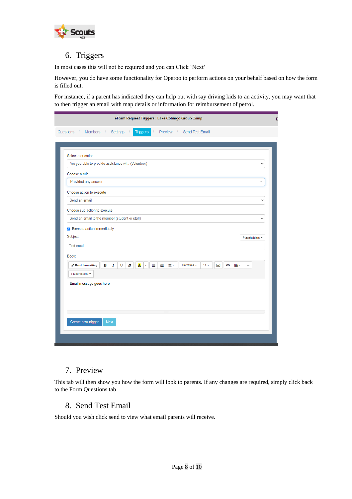

#### <span id="page-7-0"></span>6. Triggers

In most cases this will not be required and you can Click 'Next'

However, you do have some functionality for Operoo to perform actions on your behalf based on how the form is filled out.

For instance, if a parent has indicated they can help out with say driving kids to an activity, you may want that to then trigger an email with map details or information for reimbursement of petrol.

| eForm Request Triggers : Lake Cobargo Group Camp                                                                                                                                                              |  |  |
|---------------------------------------------------------------------------------------------------------------------------------------------------------------------------------------------------------------|--|--|
| Members /<br>Settings<br>Preview / Send Test Email<br>Questions /<br><b>Triggers</b>                                                                                                                          |  |  |
|                                                                                                                                                                                                               |  |  |
| Select a question                                                                                                                                                                                             |  |  |
| Are you able to provide assistance wi (Volunteer)<br>◡                                                                                                                                                        |  |  |
| Choose a rule                                                                                                                                                                                                 |  |  |
| Provided any answer                                                                                                                                                                                           |  |  |
| Choose action to execute                                                                                                                                                                                      |  |  |
| Send an email<br>$\checkmark$                                                                                                                                                                                 |  |  |
| Choose sub action to execute                                                                                                                                                                                  |  |  |
| Send an email to the member (student or staff)<br>$\checkmark$                                                                                                                                                |  |  |
| Execute action immediately                                                                                                                                                                                    |  |  |
| Subject:<br>Placeholders v                                                                                                                                                                                    |  |  |
| <b>Test email</b>                                                                                                                                                                                             |  |  |
| Body:                                                                                                                                                                                                         |  |  |
| $\mathbf{A}$ $\mathbf{v}$<br><b>E</b><br>涯<br>$\boldsymbol{I}$<br>Helvetica *<br>Reset Formatting<br>$\mathbf{B}$<br>$\overline{\mathbf{u}}$<br>Ы<br>E۰<br>$14 -$<br>$\overline{\mathbb{Z}}$<br><b>田</b><br>ඏ |  |  |
| Placeholders *                                                                                                                                                                                                |  |  |
| Email message goes here                                                                                                                                                                                       |  |  |
|                                                                                                                                                                                                               |  |  |
|                                                                                                                                                                                                               |  |  |
| $\sim$                                                                                                                                                                                                        |  |  |
| Create new trigger<br><b>Next</b>                                                                                                                                                                             |  |  |
|                                                                                                                                                                                                               |  |  |
|                                                                                                                                                                                                               |  |  |
|                                                                                                                                                                                                               |  |  |

#### <span id="page-7-1"></span>7. Preview

This tab will then show you how the form will look to parents. If any changes are required, simply click back to the Form Questions tab

#### <span id="page-7-2"></span>8. Send Test Email

Should you wish click send to view what email parents will receive.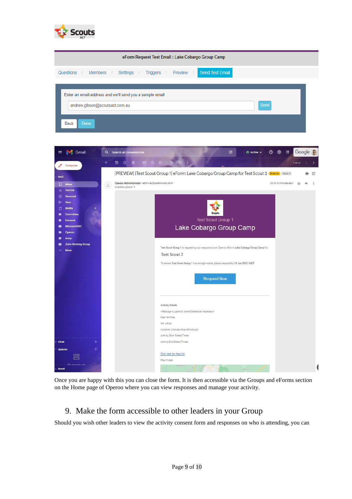

| eForm Request Test Email: Lake Cobargo Group Camp                                          |      |
|--------------------------------------------------------------------------------------------|------|
| <b>Send Test Email</b><br>Questions / Members / Settings /<br>Triggers /<br>Preview /      |      |
| Enter an email address and we'll send you a sample email<br>andrew.gibson@scoutsact.com.au | Send |
| <b>Back</b><br>Done                                                                        |      |



Once you are happy with this you can close the form. It is then accessible via the Groups and eForms section on the Home page of Operoo where you can view responses and manage your activity.

#### 9. Make the form accessible to other leaders in your Group

Should you wish other leaders to view the activity consent form and responses on who is attending, you can